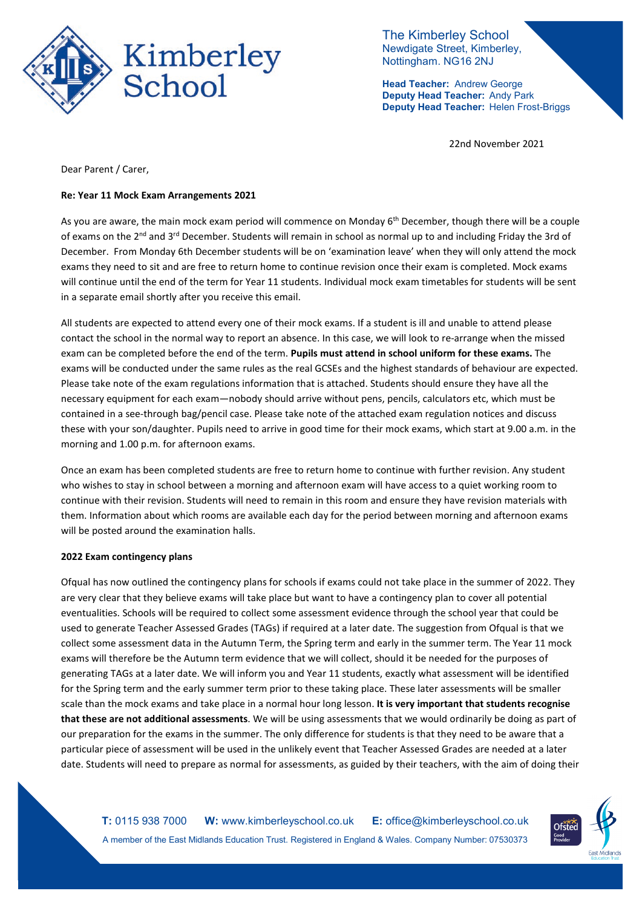

The Kimberley School Newdigate Street, Kimberley, Nottingham. NG16 2NJ

**Head Teacher:** Andrew George **Deputy Head Teacher:** Andy Park **Deputy Head Teacher:** Helen Frost-Briggs

22nd November 2021

Dear Parent / Carer,

## **Re: Year 11 Mock Exam Arrangements 2021**

As you are aware, the main mock exam period will commence on Monday 6<sup>th</sup> December, though there will be a couple of exams on the 2<sup>nd</sup> and 3<sup>rd</sup> December. Students will remain in school as normal up to and including Friday the 3rd of December. From Monday 6th December students will be on 'examination leave' when they will only attend the mock exams they need to sit and are free to return home to continue revision once their exam is completed. Mock exams will continue until the end of the term for Year 11 students. Individual mock exam timetables for students will be sent in a separate email shortly after you receive this email.

All students are expected to attend every one of their mock exams. If a student is ill and unable to attend please contact the school in the normal way to report an absence. In this case, we will look to re-arrange when the missed exam can be completed before the end of the term. **Pupils must attend in school uniform for these exams.** The exams will be conducted under the same rules as the real GCSEs and the highest standards of behaviour are expected. Please take note of the exam regulations information that is attached. Students should ensure they have all the necessary equipment for each exam—nobody should arrive without pens, pencils, calculators etc, which must be contained in a see-through bag/pencil case. Please take note of the attached exam regulation notices and discuss these with your son/daughter. Pupils need to arrive in good time for their mock exams, which start at 9.00 a.m. in the morning and 1.00 p.m. for afternoon exams.

Once an exam has been completed students are free to return home to continue with further revision. Any student who wishes to stay in school between a morning and afternoon exam will have access to a quiet working room to continue with their revision. Students will need to remain in this room and ensure they have revision materials with them. Information about which rooms are available each day for the period between morning and afternoon exams will be posted around the examination halls.

## **2022 Exam contingency plans**

Ofqual has now outlined the contingency plans for schools if exams could not take place in the summer of 2022. They are very clear that they believe exams will take place but want to have a contingency plan to cover all potential eventualities. Schools will be required to collect some assessment evidence through the school year that could be used to generate Teacher Assessed Grades (TAGs) if required at a later date. The suggestion from Ofqual is that we collect some assessment data in the Autumn Term, the Spring term and early in the summer term. The Year 11 mock exams will therefore be the Autumn term evidence that we will collect, should it be needed for the purposes of generating TAGs at a later date. We will inform you and Year 11 students, exactly what assessment will be identified for the Spring term and the early summer term prior to these taking place. These later assessments will be smaller scale than the mock exams and take place in a normal hour long lesson. **It is very important that students recognise that these are not additional assessments**. We will be using assessments that we would ordinarily be doing as part of our preparation for the exams in the summer. The only difference for students is that they need to be aware that a particular piece of assessment will be used in the unlikely event that Teacher Assessed Grades are needed at a later date. Students will need to prepare as normal for assessments, as guided by their teachers, with the aim of doing their